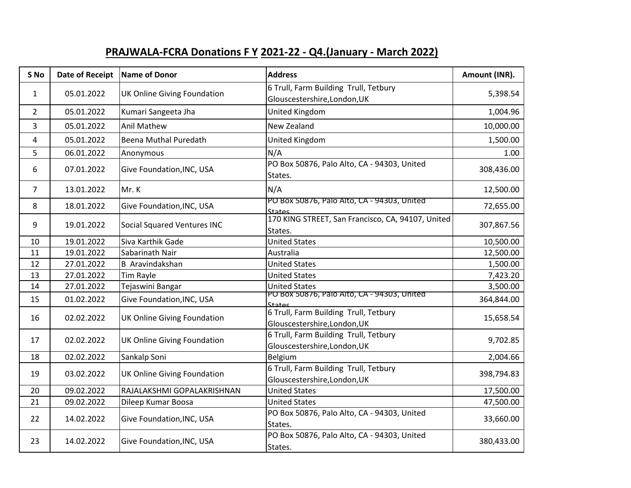## **PRAJWALA-FCRA Donations F Y 2021-22 - Q4.(January - March 2022)**

| S No           | <b>Date of Receipt</b> | Name of Donor                                                                                                                                                                                                                                                                                                                                                                                                                                                                                                                                                                                          | <b>Address</b>                                                        | Amount (INR). |
|----------------|------------------------|--------------------------------------------------------------------------------------------------------------------------------------------------------------------------------------------------------------------------------------------------------------------------------------------------------------------------------------------------------------------------------------------------------------------------------------------------------------------------------------------------------------------------------------------------------------------------------------------------------|-----------------------------------------------------------------------|---------------|
| $\mathbf{1}$   | 05.01.2022             | <b>UK Online Giving Foundation</b>                                                                                                                                                                                                                                                                                                                                                                                                                                                                                                                                                                     | 6 Trull, Farm Building Trull, Tetbury<br>Glouscestershire, London, UK | 5,398.54      |
| $\overline{2}$ | 05.01.2022             | Kumari Sangeeta Jha                                                                                                                                                                                                                                                                                                                                                                                                                                                                                                                                                                                    | United Kingdom                                                        | 1,004.96      |
| 3              | 05.01.2022             | Anil Mathew                                                                                                                                                                                                                                                                                                                                                                                                                                                                                                                                                                                            | <b>New Zealand</b>                                                    | 10,000.00     |
| 4              | 05.01.2022             | Beena Muthal Puredath                                                                                                                                                                                                                                                                                                                                                                                                                                                                                                                                                                                  | United Kingdom                                                        | 1,500.00      |
| 5              | 06.01.2022             | Anonymous                                                                                                                                                                                                                                                                                                                                                                                                                                                                                                                                                                                              | N/A                                                                   | 1.00          |
| 6              | 07.01.2022             | Give Foundation, INC, USA                                                                                                                                                                                                                                                                                                                                                                                                                                                                                                                                                                              | PO Box 50876, Palo Alto, CA - 94303, United<br>States.                | 308,436.00    |
| $\overline{7}$ | 13.01.2022             | Mr. K                                                                                                                                                                                                                                                                                                                                                                                                                                                                                                                                                                                                  | N/A                                                                   | 12,500.00     |
| 8              | 18.01.2022             | Give Foundation, INC, USA                                                                                                                                                                                                                                                                                                                                                                                                                                                                                                                                                                              | PO BOX 50876, Palo Alto, CA - 94303, United                           | 72,655.00     |
| 9              | 19.01.2022             | Social Squared Ventures INC                                                                                                                                                                                                                                                                                                                                                                                                                                                                                                                                                                            | 170 KING STREET, San Francisco, CA, 94107, United<br>States.          | 307,867.56    |
| 10             | 19.01.2022             | Siva Karthik Gade                                                                                                                                                                                                                                                                                                                                                                                                                                                                                                                                                                                      | <b>United States</b>                                                  | 10,500.00     |
| 11             | 19.01.2022             | Sabarinath Nair                                                                                                                                                                                                                                                                                                                                                                                                                                                                                                                                                                                        | Australia                                                             | 12,500.00     |
| 12             | 27.01.2022             | <b>B</b> Aravindakshan                                                                                                                                                                                                                                                                                                                                                                                                                                                                                                                                                                                 | <b>United States</b>                                                  | 1,500.00      |
| 13             | 27.01.2022             | Tim Rayle                                                                                                                                                                                                                                                                                                                                                                                                                                                                                                                                                                                              | <b>United States</b>                                                  | 7,423.20      |
| 14             | 27.01.2022             | Tejaswini Bangar                                                                                                                                                                                                                                                                                                                                                                                                                                                                                                                                                                                       | <b>United States</b>                                                  | 3,500.00      |
| 15             | 01.02.2022             | Give Foundation, INC, USA                                                                                                                                                                                                                                                                                                                                                                                                                                                                                                                                                                              |                                                                       | 364,844.00    |
|                | 02.02.2022             | <b>UK Online Giving Foundation</b>                                                                                                                                                                                                                                                                                                                                                                                                                                                                                                                                                                     | 6 Trull, Farm Building Trull, Tetbury                                 | 15,658.54     |
| 16             |                        |                                                                                                                                                                                                                                                                                                                                                                                                                                                                                                                                                                                                        | Glouscestershire, London, UK                                          |               |
| 17             | 02.02.2022             |                                                                                                                                                                                                                                                                                                                                                                                                                                                                                                                                                                                                        |                                                                       | 9,702.85      |
|                |                        | <b>States</b><br>PO Box 50876, Palo Alto, CA - 94303, United<br><b>States</b><br>6 Trull, Farm Building Trull, Tetbury<br>UK Online Giving Foundation<br>Glouscestershire, London, UK<br>Sankalp Soni<br>Belgium<br>6 Trull, Farm Building Trull, Tetbury<br><b>UK Online Giving Foundation</b><br>Glouscestershire, London, UK<br><b>United States</b><br>RAJALAKSHMI GOPALAKRISHNAN<br>Dileep Kumar Boosa<br><b>United States</b><br>PO Box 50876, Palo Alto, CA - 94303, United<br>Give Foundation, INC, USA<br>States.<br>PO Box 50876, Palo Alto, CA - 94303, United<br>Give Foundation, INC, USA |                                                                       |               |
| 18             | 02.02.2022             |                                                                                                                                                                                                                                                                                                                                                                                                                                                                                                                                                                                                        |                                                                       | 2,004.66      |
| 19             | 03.02.2022             |                                                                                                                                                                                                                                                                                                                                                                                                                                                                                                                                                                                                        |                                                                       | 398,794.83    |
|                |                        |                                                                                                                                                                                                                                                                                                                                                                                                                                                                                                                                                                                                        |                                                                       |               |
| 20             | 09.02.2022             |                                                                                                                                                                                                                                                                                                                                                                                                                                                                                                                                                                                                        |                                                                       | 17,500.00     |
| 21             | 09.02.2022             |                                                                                                                                                                                                                                                                                                                                                                                                                                                                                                                                                                                                        |                                                                       | 47,500.00     |
| 22             | 14.02.2022             |                                                                                                                                                                                                                                                                                                                                                                                                                                                                                                                                                                                                        |                                                                       | 33,660.00     |
| 23             | 14.02.2022             |                                                                                                                                                                                                                                                                                                                                                                                                                                                                                                                                                                                                        | States.                                                               | 380,433.00    |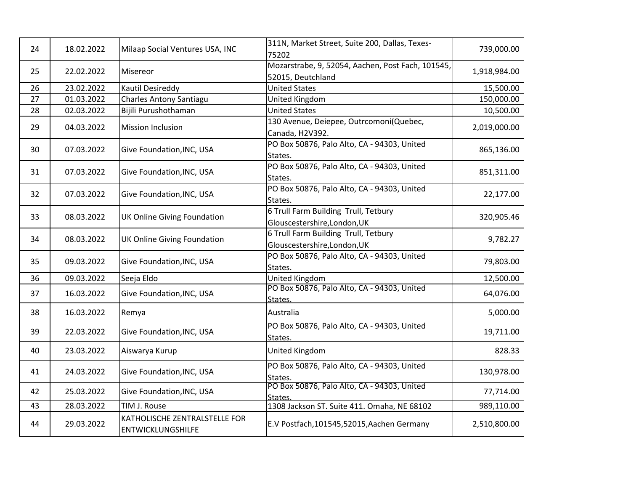| 24 | 18.02.2022 | Milaap Social Ventures USA, INC                           | 311N, Market Street, Suite 200, Dallas, Texes-<br>75202                | 739,000.00   |
|----|------------|-----------------------------------------------------------|------------------------------------------------------------------------|--------------|
| 25 | 22.02.2022 | Misereor                                                  | Mozarstrabe, 9, 52054, Aachen, Post Fach, 101545,<br>52015, Deutchland | 1,918,984.00 |
| 26 | 23.02.2022 | Kautil Desireddy                                          | <b>United States</b>                                                   | 15,500.00    |
| 27 | 01.03.2022 | <b>Charles Antony Santiagu</b>                            | United Kingdom                                                         | 150,000.00   |
| 28 | 02.03.2022 | Bijili Purushothaman                                      | <b>United States</b>                                                   | 10,500.00    |
| 29 | 04.03.2022 | <b>Mission Inclusion</b>                                  | 130 Avenue, Deiepee, Outrcomoni(Quebec,<br>Canada, H2V392.             | 2,019,000.00 |
| 30 | 07.03.2022 | Give Foundation, INC, USA                                 | PO Box 50876, Palo Alto, CA - 94303, United<br>States.                 | 865,136.00   |
| 31 | 07.03.2022 | Give Foundation, INC, USA                                 | PO Box 50876, Palo Alto, CA - 94303, United<br>States.                 | 851,311.00   |
| 32 | 07.03.2022 | Give Foundation, INC, USA                                 | PO Box 50876, Palo Alto, CA - 94303, United<br>States.                 | 22,177.00    |
| 33 | 08.03.2022 | <b>UK Online Giving Foundation</b>                        | 6 Trull Farm Building Trull, Tetbury<br>Glouscestershire, London, UK   | 320,905.46   |
| 34 | 08.03.2022 | <b>UK Online Giving Foundation</b>                        | 6 Trull Farm Building Trull, Tetbury<br>Glouscestershire, London, UK   | 9,782.27     |
| 35 | 09.03.2022 | Give Foundation, INC, USA                                 | PO Box 50876, Palo Alto, CA - 94303, United<br>States.                 | 79,803.00    |
| 36 | 09.03.2022 | Seeja Eldo                                                | United Kingdom                                                         | 12,500.00    |
| 37 | 16.03.2022 | Give Foundation, INC, USA                                 | PO Box 50876, Palo Alto, CA - 94303, United<br>States.                 | 64,076.00    |
| 38 | 16.03.2022 | Remya                                                     | Australia                                                              | 5,000.00     |
| 39 | 22.03.2022 | Give Foundation, INC, USA                                 | PO Box 50876, Palo Alto, CA - 94303, United<br>States.                 | 19,711.00    |
| 40 | 23.03.2022 | Aiswarya Kurup                                            | United Kingdom                                                         | 828.33       |
| 41 | 24.03.2022 | Give Foundation, INC, USA                                 | PO Box 50876, Palo Alto, CA - 94303, United<br>States.                 | 130,978.00   |
| 42 | 25.03.2022 | Give Foundation, INC, USA                                 | PO Box 50876, Palo Alto, CA - 94303, United<br>States.                 | 77,714.00    |
| 43 | 28.03.2022 | TIM J. Rouse                                              | 1308 Jackson ST. Suite 411. Omaha, NE 68102                            | 989,110.00   |
| 44 | 29.03.2022 | KATHOLISCHE ZENTRALSTELLE FOR<br><b>ENTWICKLUNGSHILFE</b> | E.V Postfach, 101545, 52015, Aachen Germany                            | 2,510,800.00 |